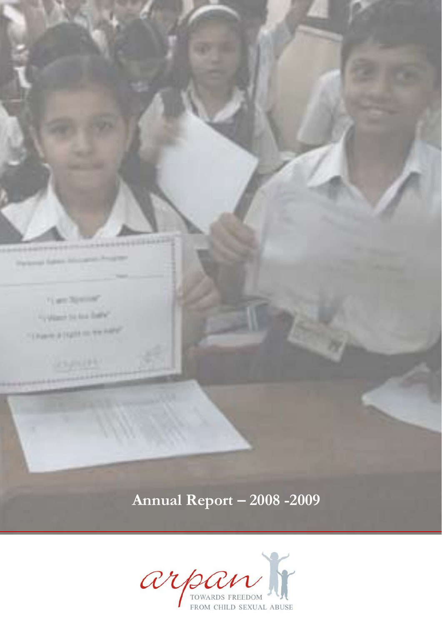**Parkman Saless International** 

Figure Spacent "Cylinder by his finite"

"University of Equite the State Party

Annual Report - 2008 - 2009

arm CONT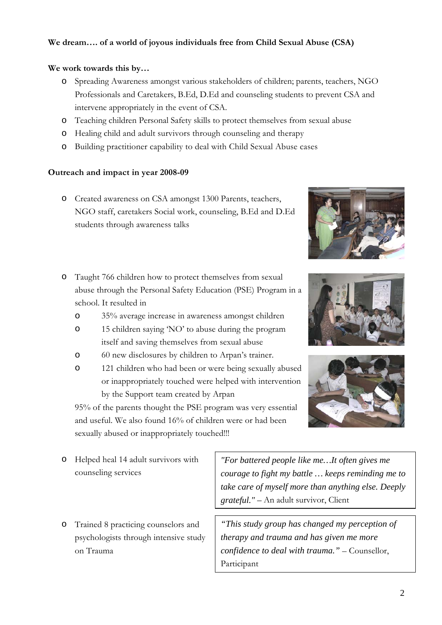# **We dream…. of a world of joyous individuals free from Child Sexual Abuse (CSA)**

### **We work towards this by…**

- o Spreading Awareness amongst various stakeholders of children; parents, teachers, NGO Professionals and Caretakers, B.Ed, D.Ed and counseling students to prevent CSA and intervene appropriately in the event of CSA.
- o Teaching children Personal Safety skills to protect themselves from sexual abuse
- o Healing child and adult survivors through counseling and therapy
- o Building practitioner capability to deal with Child Sexual Abuse cases

### **Outreach and impact in year 2008-09**

- o Created awareness on CSA amongst 1300 Parents, teachers, NGO staff, caretakers Social work, counseling, B.Ed and D.Ed students through awareness talks
- o Taught 766 children how to protect themselves from sexual abuse through the Personal Safety Education (PSE) Program in a school. It resulted in
	- o 35% average increase in awareness amongst children
	- o 15 children saying 'NO' to abuse during the program itself and saving themselves from sexual abuse
	- o 60 new disclosures by children to Arpan's trainer.
	- o 121 children who had been or were being sexually abused or inappropriately touched were helped with intervention by the Support team created by Arpan

95% of the parents thought the PSE program was very essential and useful. We also found 16% of children were or had been sexually abused or inappropriately touched!!!

- o Helped heal 14 adult survivors with counseling services
- o Trained 8 practicing counselors and psychologists through intensive study on Trauma

*"For battered people like me…It often gives me courage to fight my battle … keeps reminding me to take care of myself more than anything else. Deeply grateful."* – An adult survivor, Client

*"This study group has changed my perception of therapy and trauma and has given me more confidence to deal with trauma."* – Counsellor, Participant





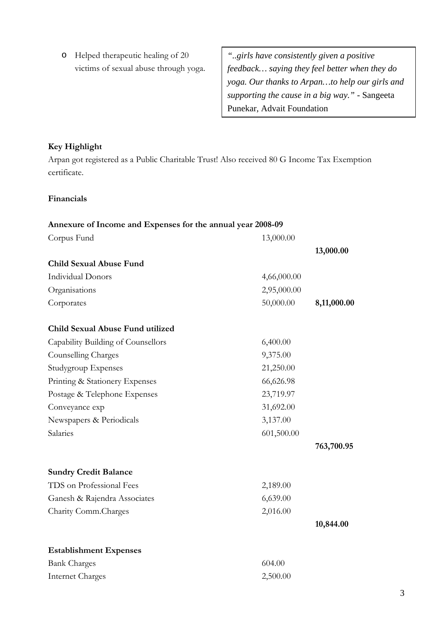o Helped therapeutic healing of 20 victims of sexual abuse through yoga.

*"..girls have consistently given a positive feedback… saying they feel better when they do yoga. Our thanks to Arpan…to help our girls and supporting the cause in a big way."* - Sangeeta Punekar, Advait Foundation

## **Key Highlight**

Arpan got registered as a Public Charitable Trust! Also received 80 G Income Tax Exemption certificate.

## **Financials**

| Annexure of Income and Expenses for the annual year 2008-09 |             |             |
|-------------------------------------------------------------|-------------|-------------|
| Corpus Fund                                                 | 13,000.00   |             |
|                                                             |             | 13,000.00   |
| <b>Child Sexual Abuse Fund</b>                              |             |             |
| <b>Individual Donors</b>                                    | 4,66,000.00 |             |
| Organisations                                               | 2,95,000.00 |             |
| Corporates                                                  | 50,000.00   | 8,11,000.00 |
| Child Sexual Abuse Fund utilized                            |             |             |
| Capability Building of Counsellors                          | 6,400.00    |             |
| Counselling Charges                                         | 9,375.00    |             |
| Studygroup Expenses                                         | 21,250.00   |             |
| Printing & Stationery Expenses                              | 66,626.98   |             |
| Postage & Telephone Expenses                                | 23,719.97   |             |
| Conveyance exp                                              | 31,692.00   |             |
| Newspapers & Periodicals                                    | 3,137.00    |             |
| Salaries                                                    | 601,500.00  |             |
|                                                             |             | 763,700.95  |
| <b>Sundry Credit Balance</b>                                |             |             |
| TDS on Professional Fees                                    | 2,189.00    |             |
| Ganesh & Rajendra Associates                                | 6,639.00    |             |
| Charity Comm.Charges                                        | 2,016.00    |             |
|                                                             |             | 10,844.00   |
| <b>Establishment Expenses</b>                               |             |             |
| <b>Bank Charges</b>                                         | 604.00      |             |
| <b>Internet Charges</b>                                     | 2,500.00    |             |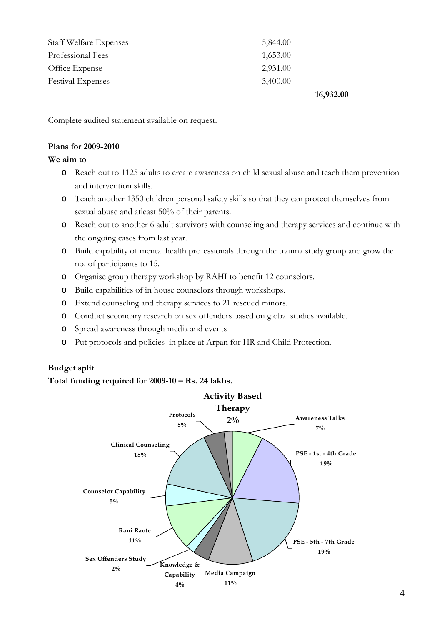| 16,932.00 |
|-----------|
| 3,400.00  |
| 2,931.00  |
| 1,653.00  |
| 5,844.00  |
|           |

Complete audited statement available on request.

#### **Plans for 2009-2010**

### **We aim to**

- o Reach out to 1125 adults to create awareness on child sexual abuse and teach them prevention and intervention skills.
- o Teach another 1350 children personal safety skills so that they can protect themselves from sexual abuse and atleast 50% of their parents.
- o Reach out to another 6 adult survivors with counseling and therapy services and continue with the ongoing cases from last year.
- o Build capability of mental health professionals through the trauma study group and grow the no. of participants to 15.
- o Organise group therapy workshop by RAHI to benefit 12 counselors.
- o Build capabilities of in house counselors through workshops.
- o Extend counseling and therapy services to 21 rescued minors.
- o Conduct secondary research on sex offenders based on global studies available.
- o Spread awareness through media and events
- o Put protocols and policies in place at Arpan for HR and Child Protection.

## **Budget split**

### **Total funding required for 2009-10 – Rs. 24 lakhs.**

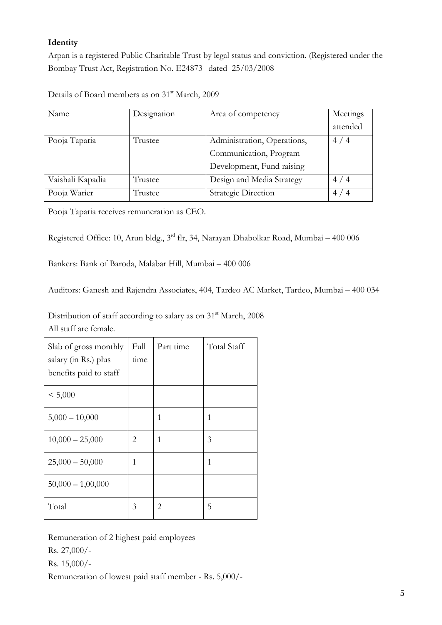# **Identity**

Arpan is a registered Public Charitable Trust by legal status and conviction. (Registered under the Bombay Trust Act, Registration No. E24873 dated 25/03/2008

Details of Board members as on 31<sup>st</sup> March, 2009

| Name             | Designation | Area of competency          | Meetings       |
|------------------|-------------|-----------------------------|----------------|
|                  |             |                             | attended       |
| Pooja Taparia    | Trustee     | Administration, Operations, | 4/4            |
|                  |             | Communication, Program      |                |
|                  |             | Development, Fund raising   |                |
| Vaishali Kapadia | Trustee     | Design and Media Strategy   | 4/4            |
| Pooja Warier     | Trustee     | Strategic Direction         | 4 <sub>l</sub> |

Pooja Taparia receives remuneration as CEO.

Registered Office: 10, Arun bldg., 3rd flr, 34, Narayan Dhabolkar Road, Mumbai – 400 006

Bankers: Bank of Baroda, Malabar Hill, Mumbai – 400 006

Auditors: Ganesh and Rajendra Associates, 404, Tardeo AC Market, Tardeo, Mumbai – 400 034

Distribution of staff according to salary as on 31<sup>st</sup> March, 2008 All staff are female.

| Slab of gross monthly<br>salary (in Rs.) plus<br>benefits paid to staff | Full<br>time | Part time | <b>Total Staff</b> |
|-------------------------------------------------------------------------|--------------|-----------|--------------------|
| < 5,000                                                                 |              |           |                    |
| $5,000 - 10,000$                                                        |              | 1         | 1                  |
| $10,000 - 25,000$                                                       | 2            | 1         | 3                  |
| $25,000 - 50,000$                                                       | 1            |           | 1                  |
| $50,000 - 1,00,000$                                                     |              |           |                    |
| Total                                                                   | 3            | 2         | 5                  |

Remuneration of 2 highest paid employees

Rs. 27,000/-

Rs. 15,000/-

Remuneration of lowest paid staff member - Rs. 5,000/-